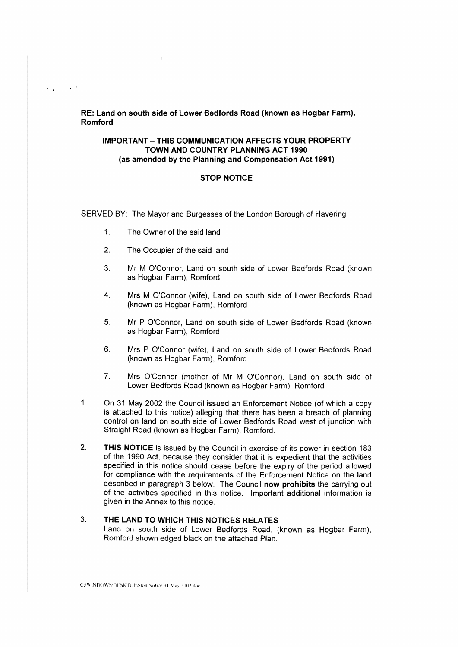RE: Land on south side of Lower Bedfords Road (known as Hogbar Farm), Romford

#### **IMPORTANT-THIS COMMUNICATION AFFECTS YOUR PROPERTY TOWN AND COUNTRY PLANNING ACT 1990 (as amended by the Planning and Compensation Act 1991)**

#### **STOP NOTICE**

SERVED BY: The Mayor and Burgesses of the London Borough of Havering

- 1. The Owner of the said land
- 2. The Occupier of the said land
- 3. Mr M O'Connor, Land on south side of Lower Bedfords Road (known as Hogbar Farm), Romford
- 4. Mrs M O'Connor (wife), Land on south side of Lower Bedfords Road (known as Hogbar Farm), Romford
- 5. Mr P O'Connor, Land on south side of Lower Bedfords Road (known as Hogbar Farm), Romford
- 6. Mrs P O'Connor (wife), Land on south side of Lower Bedfords Road (known as Hogbar Farm), Romford
- 7. Mrs O'Connor (mother of Mr M O'Connor), Land on south side of Lower Bedfords Road (known as Hogbar Farm), Romford
- 1. On 31 May 2002 the Council issued an Enforcement Notice (of which a copy is attached to this notice) alleging that there has been a breach of planning control on land on south side of Lower Bedfords Road west of junction with Straight Road (known as Hogbar Farm), Romford.
- 2. **THIS NOTICE** is issued by the Council in exercise of its power in section 183 of the 1990 Act, because they consider that it is expedient that the activities specified in this notice should cease before the expiry of the period allowed for compliance with the requirements of the Enforcement **Notice** on the land described in paragraph 3 below. The Council **now prohibits** the carrying out of the activities specified in this notice. Important additional information is given in the Annex to this notice.

### 3. **THE LAND TO WHICH THIS NOTICES RELATES**  Land on south side of Lower Bedfords Road, (known as Hogbar Farm), Romford shown edged black on the attached Plan.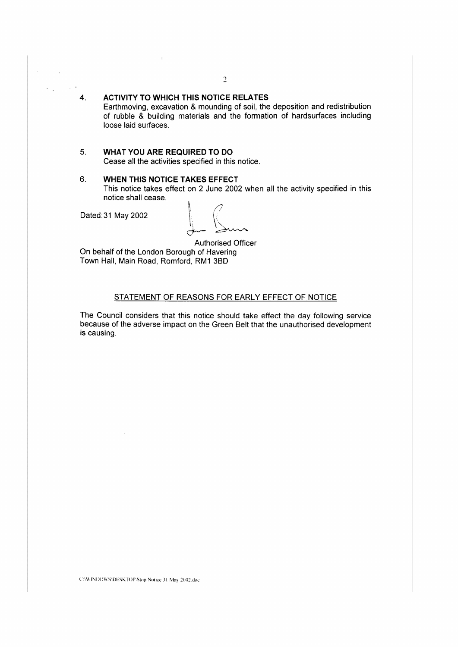# **4. ACTIVITY TO WHICH THIS NOTICE RELATES**

Earthmoving, excavation & mounding of soil, the deposition and redistribution of rubble & building materials and the formation of hardsurfaces including loose laid surfaces.

#### 5. **WHAT YOU ARE REQUIRED TO DO**  Cease all the activities specified in this notice.

#### 6. **WHEN THIS NOTICE TAKES EFFECT**

This notice takes effect on 2 June 2002 when all the activity specified in this notice shall cease.

Dated:31 May 2002

Authorised Officer On behalf of the London Borough of Havering Town Hall, Main Road, Romford, RM1 3B0

## STATEMENT OF REASONS FOR EARLY EFFECT OF NOTICE

The Council considers that this notice should take effect the day following service because of the adverse impact on the Green Belt that the unauthorised development is causing.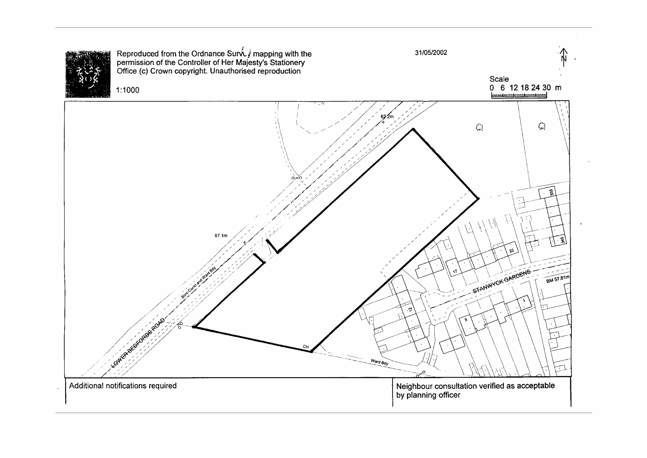